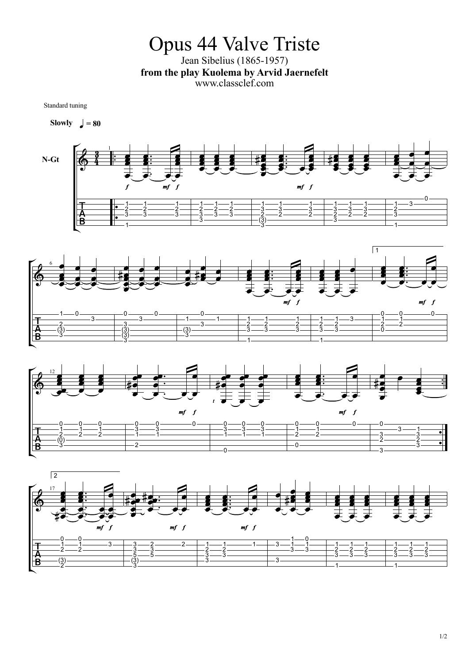Opus 44 Valve Triste Jean Sibelius (1865-1957) **from the play Kuolema by Arvid Jaernefelt** www.classclef.com

Standard tuning

**Slowly**  $\bigcup$  = **80**